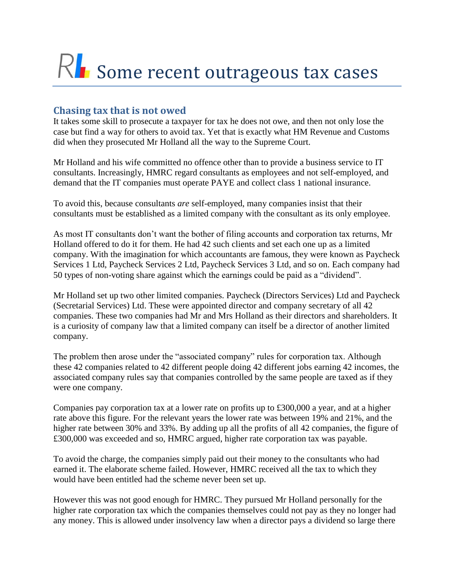# RI Some recent outrageous tax cases

## **Chasing tax that is not owed**

It takes some skill to prosecute a taxpayer for tax he does not owe, and then not only lose the case but find a way for others to avoid tax. Yet that is exactly what HM Revenue and Customs did when they prosecuted Mr Holland all the way to the Supreme Court.

Mr Holland and his wife committed no offence other than to provide a business service to IT consultants. Increasingly, HMRC regard consultants as employees and not self-employed, and demand that the IT companies must operate PAYE and collect class 1 national insurance.

To avoid this, because consultants *are* self-employed, many companies insist that their consultants must be established as a limited company with the consultant as its only employee.

As most IT consultants don't want the bother of filing accounts and corporation tax returns, Mr Holland offered to do it for them. He had 42 such clients and set each one up as a limited company. With the imagination for which accountants are famous, they were known as Paycheck Services 1 Ltd, Paycheck Services 2 Ltd, Paycheck Services 3 Ltd, and so on. Each company had 50 types of non-voting share against which the earnings could be paid as a "dividend".

Mr Holland set up two other limited companies. Paycheck (Directors Services) Ltd and Paycheck (Secretarial Services) Ltd. These were appointed director and company secretary of all 42 companies. These two companies had Mr and Mrs Holland as their directors and shareholders. It is a curiosity of company law that a limited company can itself be a director of another limited company.

The problem then arose under the "associated company" rules for corporation tax. Although these 42 companies related to 42 different people doing 42 different jobs earning 42 incomes, the associated company rules say that companies controlled by the same people are taxed as if they were one company.

Companies pay corporation tax at a lower rate on profits up to £300,000 a year, and at a higher rate above this figure. For the relevant years the lower rate was between 19% and 21%, and the higher rate between 30% and 33%. By adding up all the profits of all 42 companies, the figure of £300,000 was exceeded and so, HMRC argued, higher rate corporation tax was payable.

To avoid the charge, the companies simply paid out their money to the consultants who had earned it. The elaborate scheme failed. However, HMRC received all the tax to which they would have been entitled had the scheme never been set up.

However this was not good enough for HMRC. They pursued Mr Holland personally for the higher rate corporation tax which the companies themselves could not pay as they no longer had any money. This is allowed under insolvency law when a director pays a dividend so large there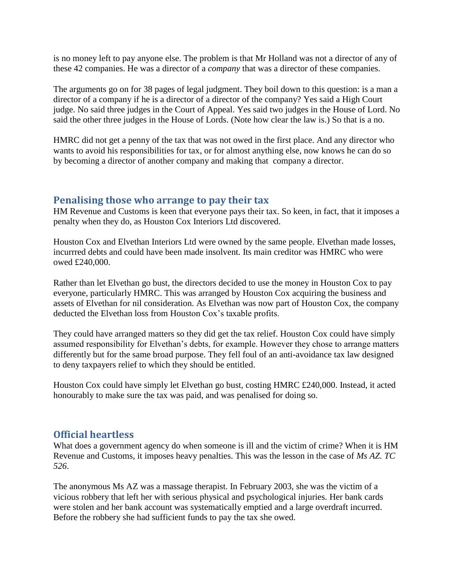is no money left to pay anyone else. The problem is that Mr Holland was not a director of any of these 42 companies. He was a director of a *company* that was a director of these companies.

The arguments go on for 38 pages of legal judgment. They boil down to this question: is a man a director of a company if he is a director of a director of the company? Yes said a High Court judge. No said three judges in the Court of Appeal. Yes said two judges in the House of Lord. No said the other three judges in the House of Lords. (Note how clear the law is.) So that is a no.

HMRC did not get a penny of the tax that was not owed in the first place. And any director who wants to avoid his responsibilities for tax, or for almost anything else, now knows he can do so by becoming a director of another company and making that company a director.

#### **Penalising those who arrange to pay their tax**

HM Revenue and Customs is keen that everyone pays their tax. So keen, in fact, that it imposes a penalty when they do, as Houston Cox Interiors Ltd discovered.

Houston Cox and Elvethan Interiors Ltd were owned by the same people. Elvethan made losses, incurrred debts and could have been made insolvent. Its main creditor was HMRC who were owed £240,000.

Rather than let Elvethan go bust, the directors decided to use the money in Houston Cox to pay everyone, particularly HMRC. This was arranged by Houston Cox acquiring the business and assets of Elvethan for nil consideration. As Elvethan was now part of Houston Cox, the company deducted the Elvethan loss from Houston Cox's taxable profits.

They could have arranged matters so they did get the tax relief. Houston Cox could have simply assumed responsibility for Elvethan's debts, for example. However they chose to arrange matters differently but for the same broad purpose. They fell foul of an anti-avoidance tax law designed to deny taxpayers relief to which they should be entitled.

Houston Cox could have simply let Elvethan go bust, costing HMRC £240,000. Instead, it acted honourably to make sure the tax was paid, and was penalised for doing so.

## **Official heartless**

What does a government agency do when someone is ill and the victim of crime? When it is HM Revenue and Customs, it imposes heavy penalties. This was the lesson in the case of *Ms AZ. TC 526*.

The anonymous Ms AZ was a massage therapist. In February 2003, she was the victim of a vicious robbery that left her with serious physical and psychological injuries. Her bank cards were stolen and her bank account was systematically emptied and a large overdraft incurred. Before the robbery she had sufficient funds to pay the tax she owed.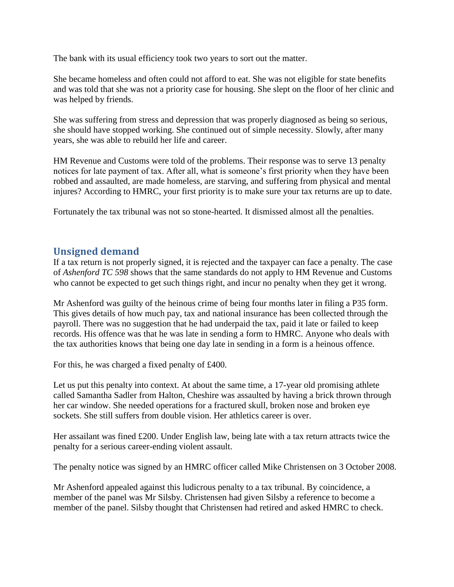The bank with its usual efficiency took two years to sort out the matter.

She became homeless and often could not afford to eat. She was not eligible for state benefits and was told that she was not a priority case for housing. She slept on the floor of her clinic and was helped by friends.

She was suffering from stress and depression that was properly diagnosed as being so serious, she should have stopped working. She continued out of simple necessity. Slowly, after many years, she was able to rebuild her life and career.

HM Revenue and Customs were told of the problems. Their response was to serve 13 penalty notices for late payment of tax. After all, what is someone's first priority when they have been robbed and assaulted, are made homeless, are starving, and suffering from physical and mental injures? According to HMRC, your first priority is to make sure your tax returns are up to date.

Fortunately the tax tribunal was not so stone-hearted. It dismissed almost all the penalties.

### **Unsigned demand**

If a tax return is not properly signed, it is rejected and the taxpayer can face a penalty. The case of *Ashenford TC 598* shows that the same standards do not apply to HM Revenue and Customs who cannot be expected to get such things right, and incur no penalty when they get it wrong.

Mr Ashenford was guilty of the heinous crime of being four months later in filing a P35 form. This gives details of how much pay, tax and national insurance has been collected through the payroll. There was no suggestion that he had underpaid the tax, paid it late or failed to keep records. His offence was that he was late in sending a form to HMRC. Anyone who deals with the tax authorities knows that being one day late in sending in a form is a heinous offence.

For this, he was charged a fixed penalty of £400.

Let us put this penalty into context. At about the same time, a 17-year old promising athlete called Samantha Sadler from Halton, Cheshire was assaulted by having a brick thrown through her car window. She needed operations for a fractured skull, broken nose and broken eye sockets. She still suffers from double vision. Her athletics career is over.

Her assailant was fined £200. Under English law, being late with a tax return attracts twice the penalty for a serious career-ending violent assault.

The penalty notice was signed by an HMRC officer called Mike Christensen on 3 October 2008.

Mr Ashenford appealed against this ludicrous penalty to a tax tribunal. By coincidence, a member of the panel was Mr Silsby. Christensen had given Silsby a reference to become a member of the panel. Silsby thought that Christensen had retired and asked HMRC to check.